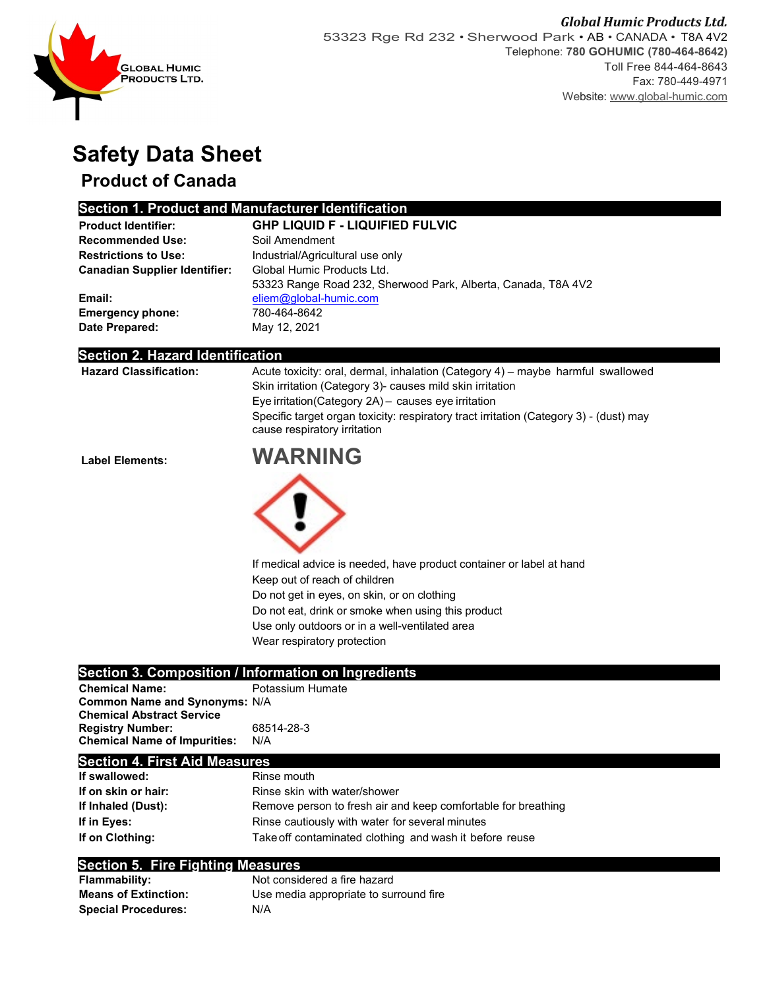

# **Safety Data Sheet**

## **Product of Canada**

### **Section 1. Product and Manufacturer Identification**

| <b>Product Identifier:</b>           | <b>GHP LIQUID F - LIQUIFIED FULVIC</b>                        |
|--------------------------------------|---------------------------------------------------------------|
| <b>Recommended Use:</b>              | Soil Amendment                                                |
| <b>Restrictions to Use:</b>          | Industrial/Agricultural use only                              |
| <b>Canadian Supplier Identifier:</b> | Global Humic Products Ltd.                                    |
|                                      | 53323 Range Road 232, Sherwood Park, Alberta, Canada, T8A 4V2 |
| Email:                               | eliem@global-humic.com                                        |
| <b>Emergency phone:</b>              | 780-464-8642                                                  |
| Date Prepared:                       | May 12, 2021                                                  |

#### **Section 2. Hazard Identification**

|                               | cause respiratory irritation<br><b>ILLA REILLA</b>                                     |
|-------------------------------|----------------------------------------------------------------------------------------|
|                               | Specific target organ toxicity: respiratory tract irritation (Category 3) - (dust) may |
|                               | Eye irritation (Category 2A) - causes eye irritation                                   |
|                               | Skin irritation (Category 3) causes mild skin irritation                               |
| <b>Hazard Classification:</b> | Acute toxicity: oral, dermal, inhalation (Category 4) – maybe harmful swallowed        |





If medical advice is needed, have product container or label at hand Keep out of reach of children Do not get in eyes, on skin, or on clothing Do not eat, drink or smoke when using this product Use only outdoors or in a well-ventilated area

Wear respiratory protection

### **Section 3. Composition / Information on Ingredients**

| <b>Chemical Name:</b>                | Potassium Humate |
|--------------------------------------|------------------|
| <b>Common Name and Synonyms: N/A</b> |                  |
| <b>Chemical Abstract Service</b>     |                  |
| <b>Registry Number:</b>              | 68514-28-3       |
| <b>Chemical Name of Impurities:</b>  | N/A              |

#### **Section 4. First Aid Measures**

| If swallowed:       | Rinse mouth                                                   |
|---------------------|---------------------------------------------------------------|
| If on skin or hair: | Rinse skin with water/shower                                  |
| If Inhaled (Dust):  | Remove person to fresh air and keep comfortable for breathing |
| If in Eves:         | Rinse cautiously with water for several minutes               |
| If on Clothing:     | Take off contaminated clothing and wash it before reuse       |

#### **Section 5. Fire Fighting Measures**

| <b>Flammability:</b>        | Not considered a fire hazard           |
|-----------------------------|----------------------------------------|
| <b>Means of Extinction:</b> | Use media appropriate to surround fire |
| <b>Special Procedures:</b>  | N/A                                    |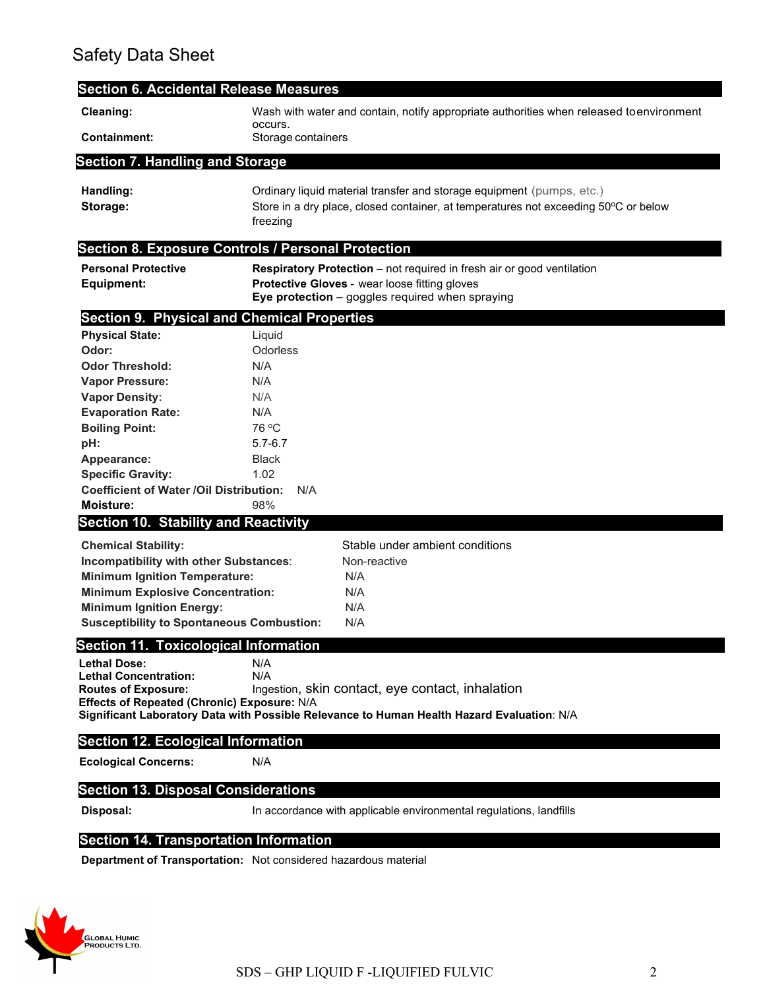## Safety Data Sheet

| <b>Section 6. Accidental Release Measures</b>                                                                                                                                                                                                  |                                                                                                                                                                                   |
|------------------------------------------------------------------------------------------------------------------------------------------------------------------------------------------------------------------------------------------------|-----------------------------------------------------------------------------------------------------------------------------------------------------------------------------------|
| Cleaning:                                                                                                                                                                                                                                      | Wash with water and contain, notify appropriate authorities when released toenvironment<br>occurs.                                                                                |
| <b>Containment:</b>                                                                                                                                                                                                                            | Storage containers                                                                                                                                                                |
| <b>Section 7. Handling and Storage</b>                                                                                                                                                                                                         |                                                                                                                                                                                   |
| Handling:<br>Storage:                                                                                                                                                                                                                          | Ordinary liquid material transfer and storage equipment (pumps, etc.)<br>Store in a dry place, closed container, at temperatures not exceeding 50°C or below<br>freezing          |
|                                                                                                                                                                                                                                                | <b>Section 8. Exposure Controls / Personal Protection</b>                                                                                                                         |
| <b>Personal Protective</b><br>Equipment:                                                                                                                                                                                                       | <b>Respiratory Protection</b> – not required in fresh air or good ventilation<br>Protective Gloves - wear loose fitting gloves<br>Eye protection - goggles required when spraying |
| <b>Section 9. Physical and Chemical Properties</b>                                                                                                                                                                                             |                                                                                                                                                                                   |
| <b>Physical State:</b><br>Odor:                                                                                                                                                                                                                | Liquid<br>Odorless                                                                                                                                                                |
| <b>Odor Threshold:</b><br><b>Vapor Pressure:</b>                                                                                                                                                                                               | N/A<br>N/A                                                                                                                                                                        |
| <b>Vapor Density:</b><br><b>Evaporation Rate:</b>                                                                                                                                                                                              | N/A<br>N/A                                                                                                                                                                        |
| <b>Boiling Point:</b><br>pH:                                                                                                                                                                                                                   | 76 °C<br>$5.7 - 6.7$                                                                                                                                                              |
| Appearance:<br><b>Specific Gravity:</b><br><b>Coefficient of Water /Oil Distribution:</b>                                                                                                                                                      | <b>Black</b><br>1.02<br>N/A                                                                                                                                                       |
| <b>Moisture:</b>                                                                                                                                                                                                                               | 98%                                                                                                                                                                               |
| <b>Section 10. Stability and Reactivity</b>                                                                                                                                                                                                    |                                                                                                                                                                                   |
| <b>Chemical Stability:</b><br>Incompatibility with other Substances:<br><b>Minimum Ignition Temperature:</b><br><b>Minimum Explosive Concentration:</b><br><b>Minimum Ignition Energy:</b><br><b>Susceptibility to Spontaneous Combustion:</b> | Stable under ambient conditions<br>Non-reactive<br>N/A<br>N/A<br>N/A<br>N/A                                                                                                       |
| <b>Section 11. Toxicological Information</b>                                                                                                                                                                                                   |                                                                                                                                                                                   |
| <b>Lethal Dose:</b><br><b>Lethal Concentration:</b><br><b>Routes of Exposure:</b><br>Effects of Repeated (Chronic) Exposure: N/A                                                                                                               | N/A<br>N/A<br>Ingestion, skin contact, eye contact, inhalation<br>Significant Laboratory Data with Possible Relevance to Human Health Hazard Evaluation: N/A                      |
| <b>Section 12. Ecological Information</b>                                                                                                                                                                                                      |                                                                                                                                                                                   |
| <b>Ecological Concerns:</b>                                                                                                                                                                                                                    | N/A                                                                                                                                                                               |
| <b>Section 13. Disposal Considerations</b>                                                                                                                                                                                                     |                                                                                                                                                                                   |
| Disposal:                                                                                                                                                                                                                                      | In accordance with applicable environmental regulations, landfills                                                                                                                |

### **Section 14. Transportation Information**

**Department of Transportation:** Not considered hazardous material